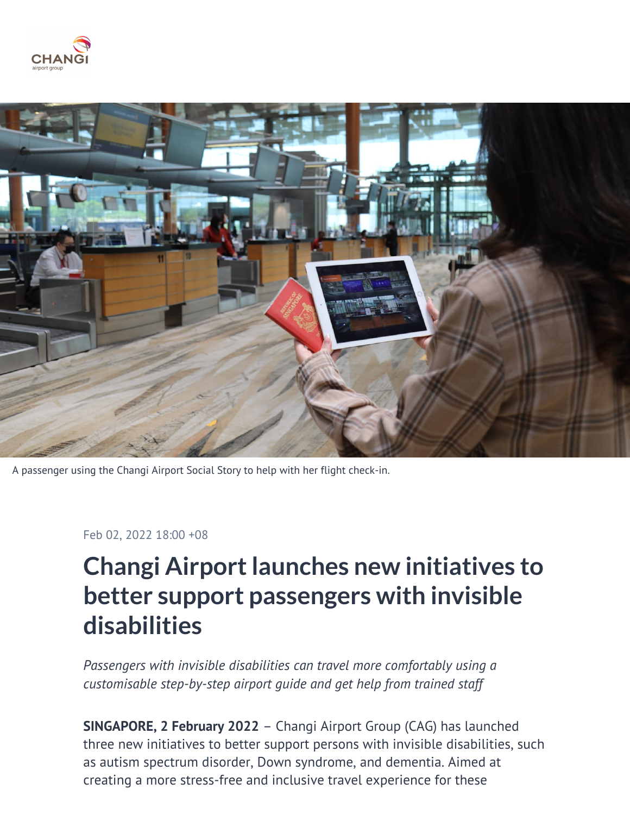



A passenger using the Changi Airport Social Story to help with her flight check-in.

#### Feb 02, 2022 18:00 +08

# **Changi Airport launches new initiatives to better support passengers with invisible disabilities**

*Passengers with invisible disabilities can travel more comfortably using a customisable step-by-step airport guide and get help from trained staff*

**SINGAPORE, 2 February 2022** – Changi Airport Group (CAG) has launched three new initiatives to better support persons with invisible disabilities, such as autism spectrum disorder, Down syndrome, and dementia. Aimed at creating a more stress-free and inclusive travel experience for these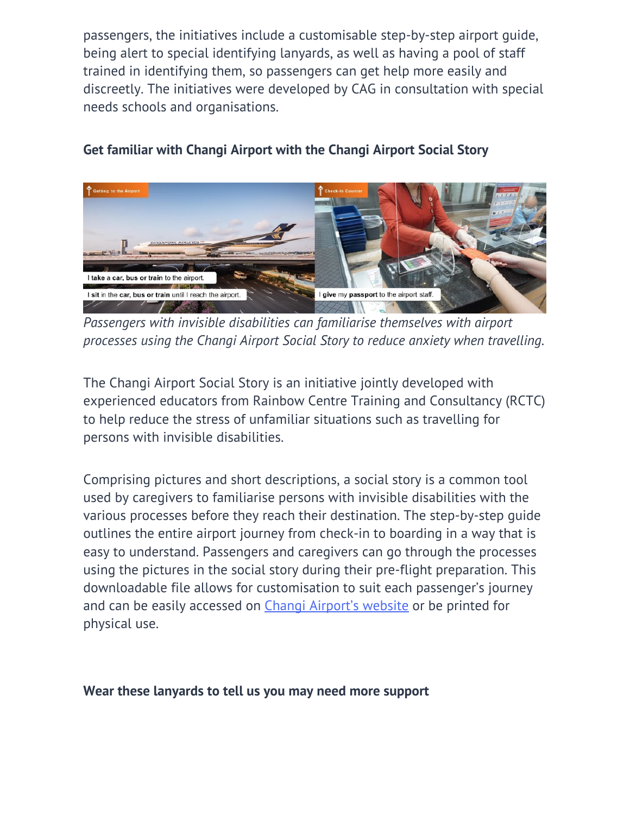passengers, the initiatives include a customisable step-by-step airport guide, being alert to special identifying lanyards, as well as having a pool of staff trained in identifying them, so passengers can get help more easily and discreetly. The initiatives were developed by CAG in consultation with special needs schools and organisations.



## **Get familiar with Changi Airport with the Changi Airport Social Story**

*Passengers with invisible disabilities can familiarise themselves with airport processes using the Changi Airport Social Story to reduce anxiety when travelling.*

The Changi Airport Social Story is an initiative jointly developed with experienced educators from Rainbow Centre Training and Consultancy (RCTC) to help reduce the stress of unfamiliar situations such as travelling for persons with invisible disabilities.

Comprising pictures and short descriptions, a social story is a common tool used by caregivers to familiarise persons with invisible disabilities with the various processes before they reach their destination. The step-by-step guide outlines the entire airport journey from check-in to boarding in a way that is easy to understand. Passengers and caregivers can go through the processes using the pictures in the social story during their pre-flight preparation. This downloadable file allows for customisation to suit each passenger's journey and can be easily accessed on [Changi Airport's website](https://www.changiairport.com/en/airport-guide/special-assistance.html) or be printed for physical use.

### **Wear these lanyards to tell us you may need more support**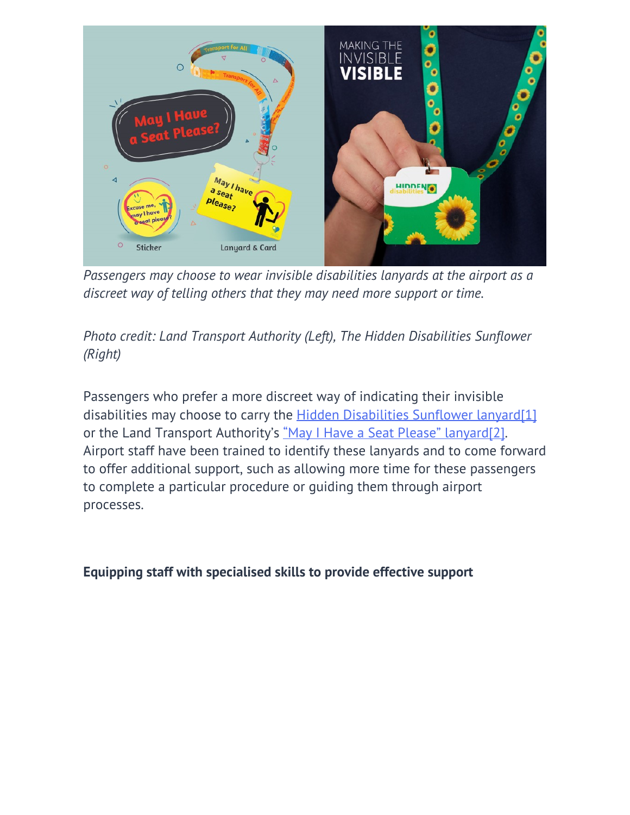

*Passengers may choose to wear invisible disabilities lanyards at the airport as a discreet way of telling others that they may need more support or time.*

# *Photo credit: Land Transport Authority (Left), The Hidden Disabilities Sunflower (Right)*

Passengers who prefer a more discreet way of indicating their invisible disabilities may choose to carry the [Hidden Disabilities Sunflower lanyard](https://hiddendisabilitiesstore.com/)[\[1\]](#_ftn1) or the Land Transport Authority's ["May I Have a Seat Please" lanyard\[2\].](https://go.gov.sg/lta-inclusive) Airport staff have been trained to identify these lanyards and to come forward to offer additional support, such as allowing more time for these passengers to complete a particular procedure or guiding them through airport processes.

### **Equipping staff with specialised skills to provide effective support**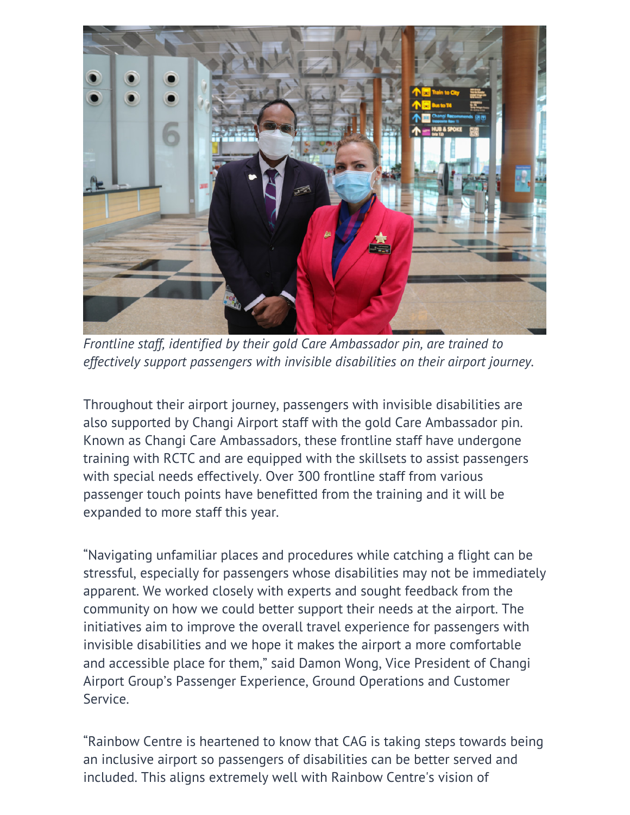

*Frontline staff, identified by their gold Care Ambassador pin, are trained to effectively support passengers with invisible disabilities on their airport journey.*

Throughout their airport journey, passengers with invisible disabilities are also supported by Changi Airport staff with the gold Care Ambassador pin. Known as Changi Care Ambassadors, these frontline staff have undergone training with RCTC and are equipped with the skillsets to assist passengers with special needs effectively. Over 300 frontline staff from various passenger touch points have benefitted from the training and it will be expanded to more staff this year.

"Navigating unfamiliar places and procedures while catching a flight can be stressful, especially for passengers whose disabilities may not be immediately apparent. We worked closely with experts and sought feedback from the community on how we could better support their needs at the airport. The initiatives aim to improve the overall travel experience for passengers with invisible disabilities and we hope it makes the airport a more comfortable and accessible place for them," said Damon Wong, Vice President of Changi Airport Group's Passenger Experience, Ground Operations and Customer Service.

"Rainbow Centre is heartened to know that CAG is taking steps towards being an inclusive airport so passengers of disabilities can be better served and included. This aligns extremely well with Rainbow Centre's vision of